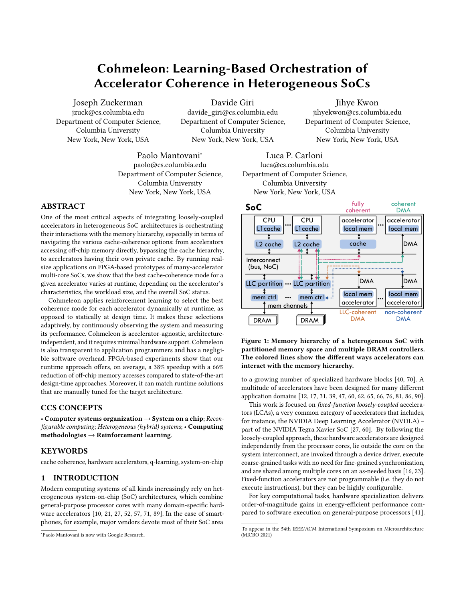# Cohmeleon: Learning-Based Orchestration of Accelerator Coherence in Heterogeneous SoCs

Joseph Zuckerman jzuck@cs.columbia.edu Department of Computer Science, Columbia University New York, New York, USA

Davide Giri

davide\_giri@cs.columbia.edu Department of Computer Science, Columbia University New York, New York, USA

Jihye Kwon jihyekwon@cs.columbia.edu Department of Computer Science, Columbia University New York, New York, USA

Paolo Mantovani<sup>∗</sup> paolo@cs.columbia.edu Department of Computer Science, Columbia University New York, New York, USA

# ABSTRACT

One of the most critical aspects of integrating loosely-coupled accelerators in heterogeneous SoC architectures is orchestrating their interactions with the memory hierarchy, especially in terms of navigating the various cache-coherence options: from accelerators accessing off-chip memory directly, bypassing the cache hierarchy, to accelerators having their own private cache. By running realsize applications on FPGA-based prototypes of many-accelerator multi-core SoCs, we show that the best cache-coherence mode for a given accelerator varies at runtime, depending on the accelerator's characteristics, the workload size, and the overall SoC status.

Cohmeleon applies reinforcement learning to select the best coherence mode for each accelerator dynamically at runtime, as opposed to statically at design time. It makes these selections adaptively, by continuously observing the system and measuring its performance. Cohmeleon is accelerator-agnostic, architectureindependent, and it requires minimal hardware support. Cohmeleon is also transparent to application programmers and has a negligible software overhead. FPGA-based experiments show that our runtime approach offers, on average, a 38% speedup with a 66% reduction of off-chip memory accesses compared to state-of-the-art design-time approaches. Moreover, it can match runtime solutions that are manually tuned for the target architecture.

### CCS CONCEPTS

• Computer systems organization  $\rightarrow$  System on a chip; Reconfigurable computing; Heterogeneous (hybrid) systems; • Computing  $methodologies \rightarrow Reinforcement learning.$ 

#### **KEYWORDS**

cache coherence, hardware accelerators, q-learning, system-on-chip

#### <span id="page-0-1"></span>1 INTRODUCTION

Modern computing systems of all kinds increasingly rely on heterogeneous system-on-chip (SoC) architectures, which combine general-purpose processor cores with many domain-specific hardware accelerators [\[10,](#page-14-0) [21,](#page-14-1) [27,](#page-14-2) [52,](#page-15-0) [57,](#page-15-1) [71,](#page-15-2) [89\]](#page-15-3). In the case of smartphones, for example, major vendors devote most of their SoC area

Luca P. Carloni luca@cs.columbia.edu Department of Computer Science, Columbia University New York, New York, USA

<span id="page-0-0"></span>

Figure 1: Memory hierarchy of a heterogeneous SoC with partitioned memory space and multiple DRAM controllers. The colored lines show the different ways accelerators can interact with the memory hierarchy.

to a growing number of specialized hardware blocks [\[40,](#page-14-3) [70\]](#page-15-4). A multitude of accelerators have been designed for many different application domains [\[12,](#page-14-4) [17,](#page-14-5) [31,](#page-14-6) [39,](#page-14-7) [47,](#page-14-8) [60,](#page-15-5) [62,](#page-15-6) [65,](#page-15-7) [66,](#page-15-8) [76,](#page-15-9) [81,](#page-15-10) [86,](#page-15-11) [90\]](#page-15-12).

This work is focused on fixed-function loosely-coupled accelerators (LCAs), a very common category of accelerators that includes, for instance, the NVIDIA Deep Learning Accelerator (NVDLA) – part of the NVIDIA Tegra Xavier SoC [\[27,](#page-14-2) [60\]](#page-15-5). By following the loosely-coupled approach, these hardware accelerators are designed independently from the processor cores, lie outside the core on the system interconnect, are invoked through a device driver, execute coarse-grained tasks with no need for fine-grained synchronization, and are shared among multiple cores on an as-needed basis [\[16,](#page-14-9) [23\]](#page-14-10). Fixed-function accelerators are not programmable (i.e. they do not execute instructions), but they can be highly configurable.

For key computational tasks, hardware specialization delivers order-of-magnitude gains in energy-efficient performance compared to software execution on general-purpose processors [\[41\]](#page-14-11).

<sup>∗</sup>Paolo Mantovani is now with Google Research.

To appear in the 54th IEEE/ACM International Symposium on Microarchitecture (MICRO 2021)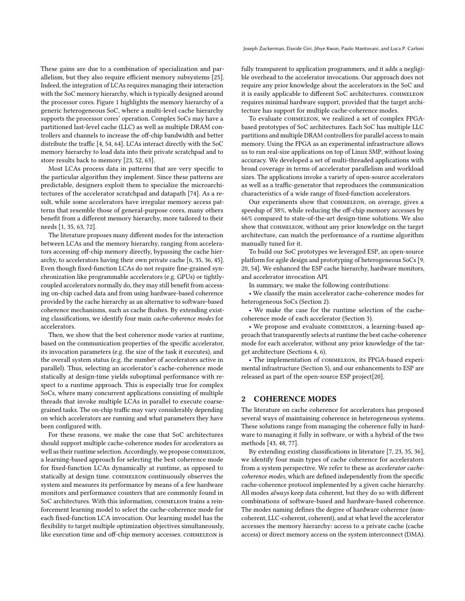These gains are due to a combination of specialization and parallelism, but they also require efficient memory subsystems [\[25\]](#page-14-12). Indeed, the integration of LCAs requires managing their interaction with the SoC memory hierarchy, which is typically designed around the processor cores. Figure [1](#page-0-0) highlights the memory hierarchy of a generic heterogeneous SoC, where a multi-level cache hierarchy supports the processor cores' operation. Complex SoCs may have a partitioned last-level cache (LLC) as well as multiple DRAM controllers and channels to increase the off-chip bandwidth and better distribute the traffic [\[4,](#page-14-13) [54,](#page-15-13) [64\]](#page-15-14). LCAs interact directly with the SoC memory hierarchy to load data into their private scratchpad and to store results back to memory [\[23,](#page-14-10) [52,](#page-15-0) [63\]](#page-15-15).

Most LCAs process data in patterns that are very specific to the particular algorithm they implement. Since these patterns are predictable, designers exploit them to specialize the microarchitectures of the accelerator scratchpad and datapath [\[74\]](#page-15-16). As a result, while some accelerators have irregular memory access patterns that resemble those of general-purpose cores, many others benefit from a different memory hierarchy, more tailored to their needs [\[1,](#page-14-14) [35,](#page-14-15) [63,](#page-15-15) [72\]](#page-15-17).

The literature proposes many different modes for the interaction between LCAs and the memory hierarchy, ranging from accelerators accessing off-chip memory directly, bypassing the cache hierarchy, to accelerators having their own private cache [\[6,](#page-14-16) [35,](#page-14-15) [36,](#page-14-17) [45\]](#page-14-18). Even though fixed-function LCAs do not require fine-grained synchronization like programmable accelerators (e.g. GPUs) or tightlycoupled accelerators normally do, they may still benefit from accessing on-chip cached data and from using hardware-based coherence provided by the cache hierarchy as an alternative to software-based coherence mechanisms, such as cache flushes. By extending existing classifications, we identify four main cache-coherence modes for accelerators.

Then, we show that the best coherence mode varies at runtime, based on the communication properties of the specific accelerator, its invocation parameters (e.g. the size of the task it executes), and the overall system status (e.g. the number of accelerators active in parallel). Thus, selecting an accelerator's cache-coherence mode statically at design-time yields suboptimal performance with respect to a runtime approach. This is especially true for complex SoCs, where many concurrent applications consisting of multiple threads that invoke multiple LCAs in parallel to execute coarsegrained tasks. The on-chip traffic may vary considerably depending on which accelerators are running and what parameters they have been configured with.

For these reasons, we make the case that SoC architectures should support multiple cache-coherence modes for accelerators as well as their runtime selection. Accordingly, we propose COHMELEON, a learning-based approach for selecting the best coherence mode for fixed-function LCAs dynamically at runtime, as opposed to statically at design time. COHMELEON continuously observes the system and measures its performance by means of a few hardware monitors and performance counters that are commonly found in SoC architectures. With this information, COHMELEON trains a reinforcement learning model to select the cache-coherence mode for each fixed-function LCA invocation. Our learning model has the flexibility to target multiple optimization objectives simultaneously, like execution time and off-chip memory accesses. COHMELEON is

fully transparent to application programmers, and it adds a negligible overhead to the accelerator invocations. Our approach does not require any prior knowledge about the accelerators in the SoC and it is easily applicable to different SoC architectures. COHMELEON requires minimal hardware support, provided that the target architecture has support for multiple cache-coherence modes.

To evaluate cohmeleon, we realized a set of complex FPGAbased prototypes of SoC architectures. Each SoC has multiple LLC partitions and multiple DRAM controllers for parallel access to main memory. Using the FPGA as an experimental infrastructure allows us to run real-size applications on top of Linux SMP, without losing accuracy. We developed a set of multi-threaded applications with broad coverage in terms of accelerator parallelism and workload sizes. The applications invoke a variety of open-source accelerators as well as a traffic-generator that reproduces the communication characteristics of a wide range of fixed-function accelerators.

Our experiments show that COHMELEON, on average, gives a speedup of 38%, while reducing the off-chip memory accesses by 66% compared to state-of-the-art design-time solutions. We also show that COHMELEON, without any prior knowledge on the target architecture, can match the performance of a runtime algorithm manually tuned for it.

To build our SoC prototypes we leveraged ESP, an open-source platform for agile design and prototyping of heterogeneous SoCs [\[9,](#page-14-19) [20,](#page-14-20) [54\]](#page-15-13). We enhanced the ESP cache hierarchy, hardware monitors, and accelerator invocation API.

In summary, we make the following contributions:

• We classify the main accelerator cache-coherence modes for heterogeneous SoCs (Section [2\)](#page-1-0).

• We make the case for the runtime selection of the cachecoherence mode of each accelerator (Section [3\)](#page-2-0).

• We propose and evaluate COHMELEON, a learning-based approach that transparently selects at runtime the best cache-coherence mode for each accelerator, without any prior knowledge of the target architecture (Sections [4,](#page-4-0) [6\)](#page-9-0).

• The implementation of COHMELEON, its FPGA-based experimental infrastructure (Section [5\)](#page-8-0), and our enhancements to ESP are released as part of the open-source ESP project[\[20\]](#page-14-20).

#### <span id="page-1-0"></span>2 COHERENCE MODES

The literature on cache coherence for accelerators has proposed several ways of maintaining coherence in heterogeneous systems. These solutions range from managing the coherence fully in hardware to managing it fully in software, or with a hybrid of the two methods [\[43,](#page-14-21) [48,](#page-14-22) [77\]](#page-15-18).

By extending existing classifications in literature [\[7,](#page-14-23) [23,](#page-14-10) [35,](#page-14-15) [36\]](#page-14-17), we identify four main types of cache coherence for accelerators from a system perspective. We refer to these as accelerator cachecoherence modes, which are defined independently from the specific cache-coherence protocol implemented by a given cache hierarchy. All modes always keep data coherent, but they do so with different combinations of software-based and hardware-based coherence. The modes naming defines the degree of hardware coherence (noncoherent, LLC-coherent, coherent), and at what level the accelerator accesses the memory hierarchy: access to a private cache (cache access) or direct memory access on the system interconnect (DMA).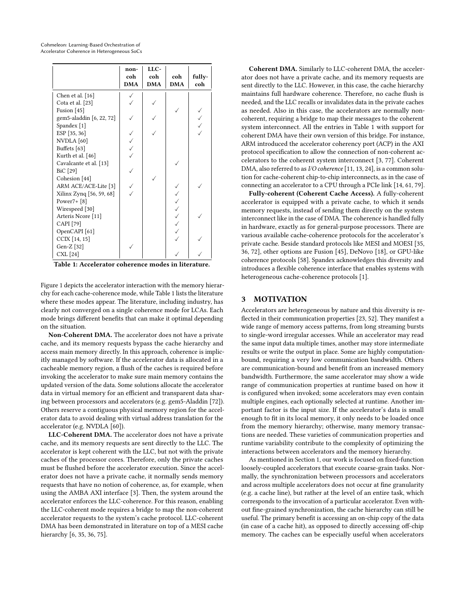<span id="page-2-1"></span>

|                               | non-<br>coh<br><b>DMA</b> | LLC-<br>coh<br><b>DMA</b> | coh<br><b>DMA</b> | fully-<br>coh |
|-------------------------------|---------------------------|---------------------------|-------------------|---------------|
| Chen et al. [16]              |                           |                           |                   |               |
| Cota et al. [23]              |                           |                           |                   |               |
| Fusion [45]                   |                           |                           |                   |               |
| gem5-aladdin [6, 22, 72]      |                           |                           |                   |               |
| Spandex <sup>[1]</sup>        |                           |                           |                   |               |
| ESP [35, 36]                  |                           |                           |                   |               |
| NVDLA [60]                    |                           |                           |                   |               |
| Buffets [63]                  |                           |                           |                   |               |
| Kurth et al. [46]             |                           |                           |                   |               |
| Cavalcante et al. [13]        |                           |                           |                   |               |
| BiC [29]                      |                           |                           |                   |               |
| Cohesion [44]                 |                           |                           |                   |               |
| ARM ACE/ACE-Lite [3]          |                           |                           |                   |               |
| Xilinx Zynq [56, 59, 68]      |                           |                           |                   |               |
| Power $7+$ [8]                |                           |                           |                   |               |
| Wirespeed [30]                |                           |                           |                   |               |
| Arteris Ncore <sup>[11]</sup> |                           |                           |                   |               |
| CAPI [79]                     |                           |                           | くくくへくく            |               |
| OpenCAPI <sup>[61]</sup>      |                           |                           |                   |               |
| CCIX [14, 15]                 |                           |                           |                   |               |
| Gen-Z [32]                    |                           |                           |                   |               |
| CXL [24]                      |                           |                           |                   |               |

Table 1: Accelerator coherence modes in literature.

Figure [1](#page-0-0) depicts the accelerator interaction with the memory hierarchy for each cache-coherence mode, while Table [1](#page-2-1) lists the literature where these modes appear. The literature, including industry, has clearly not converged on a single coherence mode for LCAs. Each mode brings different benefits that can make it optimal depending on the situation.

Non-Coherent DMA. The accelerator does not have a private cache, and its memory requests bypass the cache hierarchy and access main memory directly. In this approach, coherence is implicitly managed by software. If the accelerator data is allocated in a cacheable memory region, a flush of the caches is required before invoking the accelerator to make sure main memory contains the updated version of the data. Some solutions allocate the accelerator data in virtual memory for an efficient and transparent data sharing between processors and accelerators (e.g. gem5-Aladdin [\[72\]](#page-15-17)). Others reserve a contiguous physical memory region for the accelerator data to avoid dealing with virtual address translation for the accelerator (e.g. NVDLA [\[60\]](#page-15-5)).

LLC-Coherent DMA. The accelerator does not have a private cache, and its memory requests are sent directly to the LLC. The accelerator is kept coherent with the LLC, but not with the private caches of the processor cores. Therefore, only the private caches must be flushed before the accelerator execution. Since the accelerator does not have a private cache, it normally sends memory requests that have no notion of coherence, as, for example, when using the AMBA AXI interface [\[3\]](#page-14-29). Then, the system around the accelerator enforces the LLC-coherence. For this reason, enabling the LLC-coherent mode requires a bridge to map the non-coherent accelerator requests to the system's cache protocol. LLC-coherent DMA has been demonstrated in literature on top of a MESI cache hierarchy [\[6,](#page-14-16) [35,](#page-14-15) [36,](#page-14-17) [75\]](#page-15-24).

Coherent DMA. Similarly to LLC-coherent DMA, the accelerator does not have a private cache, and its memory requests are sent directly to the LLC. However, in this case, the cache hierarchy maintains full hardware coherence. Therefore, no cache flush is needed, and the LLC recalls or invalidates data in the private caches as needed. Also in this case, the accelerators are normally noncoherent, requiring a bridge to map their messages to the coherent system interconnect. All the entries in Table [1](#page-2-1) with support for coherent DMA have their own version of this bridge. For instance, ARM introduced the accelerator coherency port (ACP) in the AXI protocol specification to allow the connection of non-coherent accelerators to the coherent system interconnect [\[3,](#page-14-29) [77\]](#page-15-18). Coherent DMA, also referred to as I/O coherence [\[11,](#page-14-32) [13,](#page-14-26) [24\]](#page-14-36), is a common solution for cache-coherent chip-to-chip interconnects, as in the case of connecting an accelerator to a CPU through a PCIe link [\[14,](#page-14-33) [61,](#page-15-23) [79\]](#page-15-22).

Fully-coherent (Coherent Cache Access). A fully-coherent accelerator is equipped with a private cache, to which it sends memory requests, instead of sending them directly on the system interconnect like in the case of DMA. The coherence is handled fully in hardware, exactly as for general-purpose processors. There are various available cache-coherence protocols for the accelerator's private cache. Beside standard protocols like MESI and MOESI [\[35,](#page-14-15) [36,](#page-14-17) [72\]](#page-15-17), other options are Fusion [\[45\]](#page-14-18), DeNovo [\[18\]](#page-14-37), or GPU-like coherence protocols [\[58\]](#page-15-25). Spandex acknowledges this diversity and introduces a flexible coherence interface that enables systems with heterogeneous cache-coherence protocols [\[1\]](#page-14-14).

#### <span id="page-2-0"></span>3 MOTIVATION

Accelerators are heterogeneous by nature and this diversity is reflected in their communication properties [\[23,](#page-14-10) [52\]](#page-15-0). They manifest a wide range of memory access patterns, from long streaming bursts to single-word irregular accesses. While an accelerator may read the same input data multiple times, another may store intermediate results or write the output in place. Some are highly computationbound, requiring a very low communication bandwidth. Others are communication-bound and benefit from an increased memory bandwidth. Furthermore, the same accelerator may show a wide range of communication properties at runtime based on how it is configured when invoked; some accelerators may even contain multiple engines, each optionally selected at runtime. Another important factor is the input size. If the accelerator's data is small enough to fit in its local memory, it only needs to be loaded once from the memory hierarchy; otherwise, many memory transactions are needed. These varieties of communication properties and runtime variability contribute to the complexity of optimizing the interactions between accelerators and the memory hierarchy.

As mentioned in Section [1,](#page-0-1) our work is focused on fixed-function loosely-coupled accelerators that execute coarse-grain tasks. Normally, the synchronization between processors and accelerators and across multiple accelerators does not occur at fine granularity (e.g. a cache line), but rather at the level of an entire task, which corresponds to the invocation of a particular accelerator. Even without fine-grained synchronization, the cache hierarchy can still be useful. The primary benefit is accessing an on-chip copy of the data (in case of a cache hit), as opposed to directly accessing off-chip memory. The caches can be especially useful when accelerators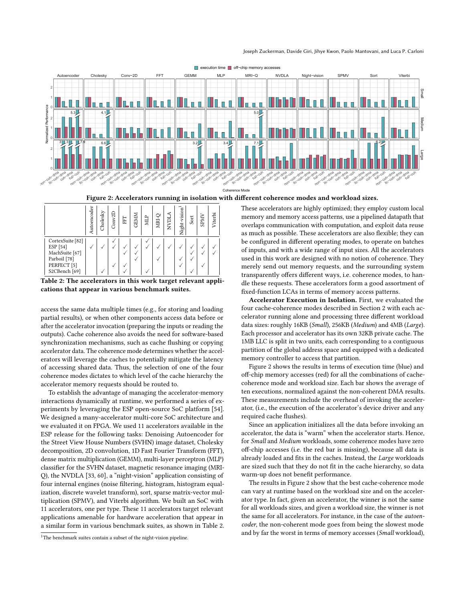#### Joseph Zuckerman, Davide Giri, Jihye Kwon, Paolo Mantovani, and Luca P. Carloni

<span id="page-3-2"></span>

■ execution time ■ off-chip memory acc

Figure 2: Accelerators running in isolation with different coherence modes and workload sizes.

Coh

<span id="page-3-1"></span>

|                                                                                                                      | Autoencoder | Cholesky | Conv2D | FFI | <b>GEMM</b> | MLP | NRI-Ç | NVDL. | Night-vision | Sort | <b>SPMV</b> | Viterbi |
|----------------------------------------------------------------------------------------------------------------------|-------------|----------|--------|-----|-------------|-----|-------|-------|--------------|------|-------------|---------|
| CortexSuite [82]<br>ESP [54]<br>MachSuite [67]<br>Parboil [78]<br>PERFECT <sup>[5]</sup><br>S2CBench <sup>[69]</sup> | Ñ           |          |        |     |             |     | ν     |       |              |      |             |         |

Table 2: The accelerators in this work target relevant applications that appear in various benchmark suites.

access the same data multiple times (e.g., for storing and loading partial results), or when other components access data before or after the accelerator invocation (preparing the inputs or reading the outputs). Cache coherence also avoids the need for software-based synchronization mechanisms, such as cache flushing or copying accelerator data. The coherence mode determines whether the accelerators will leverage the caches to potentially mitigate the latency of accessing shared data. Thus, the selection of one of the four coherence modes dictates to which level of the cache hierarchy the accelerator memory requests should be routed to.

To establish the advantage of managing the accelerator-memory interactions dynamically at runtime, we performed a series of experiments by leveraging the ESP open-source SoC platform [\[54\]](#page-15-13). We designed a many-accelerator multi-core SoC architecture and we evaluated it on FPGA. We used 11 accelerators available in the ESP release for the following tasks: Denoising Autoencoder for the Street View House Numbers (SVHN) image dataset, Cholesky decomposition, 2D convolution, 1D Fast Fourier Transform (FFT), dense matrix multiplication (GEMM), multi-layer perceptron (MLP) classifier for the SVHN dataset, magnetic resonance imaging (MRI-Q), the NVDLA [\[33,](#page-14-39) [60\]](#page-15-5), a "night-vision" application consisting of four internal engines (noise filtering, histogram, histogram equalization, discrete wavelet transform), sort, sparse matrix-vector multiplication (SPMV), and Viterbi algorithm. We built an SoC with 11 accelerators, one per type. These 11 accelerators target relevant applications amenable for hardware acceleration that appear in a similar form in various benchmark suites, as shown in Table [2.](#page-3-1)

<span id="page-3-0"></span> $^{\rm 1}{\rm The}$  benchmark suites contain a subset of the night-vision pipeline.

These accelerators are highly optimized; they employ custom local memory and memory access patterns, use a pipelined datapath that overlaps communication with computation, and exploit data reuse as much as possible. These accelerators are also flexible; they can be configured in different operating modes, to operate on batches of inputs, and with a wide range of input sizes. All the accelerators used in this work are designed with no notion of coherence. They merely send out memory requests, and the surrounding system transparently offers different ways, i.e. coherence modes, to handle these requests. These accelerators form a good assortment of fixed-function LCAs in terms of memory access patterns.

Accelerator Execution in Isolation. First, we evaluated the four cache-coherence modes described in Section [2](#page-1-0) with each accelerator running alone and processing three different workload data sizes: roughly 16KB (Small), 256KB (Medium) and 4MB (Large). Each processor and accelerator has its own 32KB private cache. The 1MB LLC is split in two units, each corresponding to a contiguous partition of the global address space and equipped with a dedicated memory controller to access that partition.

Figure [2](#page-3-2) shows the results in terms of execution time (blue) and off-chip memory accesses (red) for all the combinations of cachecoherence mode and workload size. Each bar shows the average of ten executions, normalized against the non-coherent DMA results. These measurements include the overhead of invoking the accelerator, (i.e., the execution of the accelerator's device driver and any required cache flushes).

Since an application initializes all the data before invoking an accelerator, the data is "warm" when the accelerator starts. Hence, for Small and Medium workloads, some coherence modes have zero off-chip accesses (i.e. the red bar is missing), because all data is already loaded and fits in the caches. Instead, the Large workloads are sized such that they do not fit in the cache hierarchy, so data warm-up does not benefit performance.

The results in Figure [2](#page-3-2) show that the best cache-coherence mode can vary at runtime based on the workload size and on the accelerator type. In fact, given an accelerator, the winner is not the same for all workloads sizes, and given a workload size, the winner is not the same for all accelerators. For instance, in the case of the autoencoder, the non-coherent mode goes from being the slowest mode and by far the worst in terms of memory accesses (Small workload),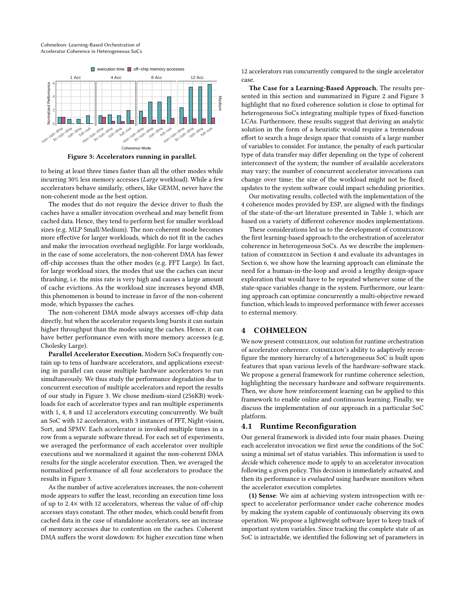<span id="page-4-1"></span>

Figure 3: Accelerators running in parallel.

to being at least three times faster than all the other modes while incurring 30% less memory accesses (Large workload). While a few accelerators behave similarly, others, like GEMM, never have the non-coherent mode as the best option.

The modes that do not require the device driver to flush the caches have a smaller invocation overhead and may benefit from cached data. Hence, they tend to perform best for smaller workload sizes (e.g. MLP Small/Medium). The non-coherent mode becomes more effective for larger workloads, which do not fit in the caches and make the invocation overhead negligible. For large workloads, in the case of some accelerators, the non-coherent DMA has fewer off-chip accesses than the other modes (e.g. FFT Large). In fact, for large workload sizes, the modes that use the caches can incur thrashing, i.e. the miss rate is very high and causes a large amount of cache evictions. As the workload size increases beyond 4MB, this phenomenon is bound to increase in favor of the non-coherent mode, which bypasses the caches.

The non-coherent DMA mode always accesses off-chip data directly, but when the accelerator requests long bursts it can sustain higher throughput than the modes using the caches. Hence, it can have better performance even with more memory accesses (e.g. Cholesky Large).

Parallel Accelerator Execution. Modern SoCs frequently contain up to tens of hardware accelerators, and applications executing in parallel can cause multiple hardware accelerators to run simultaneously. We thus study the performance degradation due to concurrent execution of multiple accelerators and report the results of our study in Figure [3.](#page-4-1) We chose medium-sized (256KB) workloads for each of accelerator types and ran multiple experiments with 1, 4, 8 and 12 accelerators executing concurrently. We built an SoC with 12 accelerators, with 3 instances of FFT, Night-vision, Sort, and SPMV. Each accelerator is invoked multiple times in a row from a separate software thread. For each set of experiments, we averaged the performance of each accelerator over multiple executions and we normalized it against the non-coherent DMA results for the single accelerator execution. Then, we averaged the normalized performance of all four accelerators to produce the results in Figure [3.](#page-4-1)

As the number of active accelerators increases, the non-coherent mode appears to suffer the least, recording an execution time loss of up to <sup>2</sup>.4<sup>×</sup> with 12 accelerators, whereas the value of off-chip accesses stays constant. The other modes, which could benefit from cached data in the case of standalone accelerators, see an increase of memory accesses due to contention on the caches. Coherent DMA suffers the worst slowdown: 8× higher execution time when 12 accelerators run concurrently compared to the single accelerator case.

The Case for a Learning-Based Approach. The results presented in this section and summarized in Figure [2](#page-3-2) and Figure [3](#page-4-1) highlight that no fixed coherence solution is close to optimal for heterogeneous SoCs integrating multiple types of fixed-function LCAs. Furthermore, these results suggest that deriving an analytic solution in the form of a heuristic would require a tremendous effort to search a huge design space that consists of a large number of variables to consider. For instance, the penalty of each particular type of data transfer may differ depending on the type of coherent interconnect of the system; the number of available accelerators may vary; the number of concurrent accelerator invocations can change over time; the size of the workload might not be fixed; updates to the system software could impact scheduling priorities.

Our motivating results, collected with the implementation of the 4 coherence modes provided by ESP, are aligned with the findings of the state-of-the-art literature presented in Table [1,](#page-2-1) which are based on a variety of different coherence modes implementations.

These considerations led us to the development of COHMELEON: the first learning-based approach to the orchestration of accelerator coherence in heterogeneous SoCs. As we describe the implementation of cohmeleon in Section [4](#page-4-0) and evaluate its advantages in Section [6,](#page-9-0) we show how the learning approach can eliminate the need for a human-in-the-loop and avoid a lengthy design-space exploration that would have to be repeated whenever some of the state-space variables change in the system. Furthermore, our learning approach can optimize concurrently a multi-objective reward function, which leads to improved performance with fewer accesses to external memory.

#### <span id="page-4-0"></span>4 COHMELEON

We now present COHMELEON, our solution for runtime orchestration of accelerator coherence. cohmeleon's ability to adaptively reconfigure the memory hierarchy of a heterogeneous SoC is built upon features that span various levels of the hardware-software stack. We propose a general framework for runtime coherence selection, highlighting the necessary hardware and software requirements. Then, we show how reinforcement learning can be applied to this framework to enable online and continuous learning. Finally, we discuss the implementation of our approach in a particular SoC platform.

#### 4.1 Runtime Reconfiguration

Our general framework is divided into four main phases. During each accelerator invocation we first sense the conditions of the SoC using a minimal set of status variables. This information is used to decide which coherence mode to apply to an accelerator invocation following a given policy. This decision is immediately actuated, and then its performance is evaluated using hardware monitors when the accelerator execution completes.

(1) Sense: We aim at achieving system introspection with respect to accelerator performance under cache coherence modes by making the system capable of continuously observing its own operation. We propose a lightweight software layer to keep track of important system variables. Since tracking the complete state of an SoC is intractable, we identified the following set of parameters in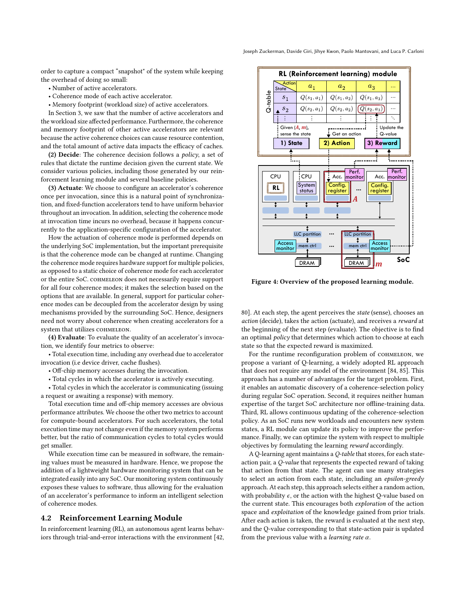order to capture a compact "snapshot" of the system while keeping the overhead of doing so small:

- Number of active accelerators.
- Coherence mode of each active accelerator.
- Memory footprint (workload size) of active accelerators.

In Section [3,](#page-2-0) we saw that the number of active accelerators and the workload size affected performance. Furthermore, the coherence and memory footprint of other active accelerators are relevant because the active coherence choices can cause resource contention, and the total amount of active data impacts the efficacy of caches.

(2) Decide: The coherence decision follows a policy, a set of rules that dictate the runtime decision given the current state. We consider various policies, including those generated by our reinforcement learning module and several baseline policies.

(3) Actuate: We choose to configure an accelerator's coherence once per invocation, since this is a natural point of synchronization, and fixed-function accelerators tend to have uniform behavior throughout an invocation. In addition, selecting the coherence mode at invocation time incurs no overhead, because it happens concurrently to the application-specific configuration of the accelerator.

How the actuation of coherence mode is performed depends on the underlying SoC implementation, but the important prerequisite is that the coherence mode can be changed at runtime. Changing the coherence mode requires hardware support for multiple policies, as opposed to a static choice of coherence mode for each accelerator or the entire SoC. cohmeleon does not necessarily require support for all four coherence modes; it makes the selection based on the options that are available. In general, support for particular coherence modes can be decoupled from the accelerator design by using mechanisms provided by the surrounding SoC. Hence, designers need not worry about coherence when creating accelerators for a system that utilizes COHMELEON.

(4) Evaluate: To evaluate the quality of an accelerator's invocation, we identify four metrics to observe:

• Total execution time, including any overhead due to accelerator invocation (i.e device driver, cache flushes).

• Off-chip memory accesses during the invocation.

• Total cycles in which the accelerator is actively executing.

• Total cycles in which the accelerator is communicating (issuing a request or awaiting a response) with memory.

Total execution time and off-chip memory accesses are obvious performance attributes. We choose the other two metrics to account for compute-bound accelerators. For such accelerators, the total execution time may not change even if the memory system performs better, but the ratio of communication cycles to total cycles would get smaller.

While execution time can be measured in software, the remaining values must be measured in hardware. Hence, we propose the addition of a lightweight hardware monitoring system that can be integrated easily into any SoC. Our monitoring system continuously exposes these values to software, thus allowing for the evaluation of an accelerator's performance to inform an intelligent selection of coherence modes.

#### <span id="page-5-1"></span>4.2 Reinforcement Learning Module

In reinforcement learning (RL), an autonomous agent learns behaviors through trial-and-error interactions with the environment [\[42,](#page-14-40)

<span id="page-5-0"></span>

Figure 4: Overview of the proposed learning module.

[80\]](#page-15-30). At each step, the agent perceives the state (sense), chooses an action (decide), takes the action (actuate), and receives a reward at the beginning of the next step (evaluate). The objective is to find an optimal policy that determines which action to choose at each state so that the expected reward is maximized.

For the runtime reconfiguration problem of COHMELEON, we propose a variant of Q-learning, a widely adopted RL approach that does not require any model of the environment [\[84,](#page-15-31) [85\]](#page-15-32). This approach has a number of advantages for the target problem. First, it enables an automatic discovery of a coherence-selection policy during regular SoC operation. Second, it requires neither human expertise of the target SoC architecture nor offline-training data. Third, RL allows continuous updating of the coherence-selection policy. As an SoC runs new workloads and encounters new system states, a RL module can update its policy to improve the performance. Finally, we can optimize the system with respect to multiple objectives by formulating the learning reward accordingly.

A Q-learning agent maintains a Q-table that stores, for each stateaction pair, a Q-value that represents the expected reward of taking that action from that state. The agent can use many strategies to select an action from each state, including an epsilon-greedy approach. At each step, this approach selects either a random action, with probability  $\epsilon$ , or the action with the highest Q-value based on the current state. This encourages both exploration of the action space and *exploitation* of the knowledge gained from prior trials. After each action is taken, the reward is evaluated at the next step, and the Q-value corresponding to that state-action pair is updated from the previous value with a *learning rate*  $\alpha$ .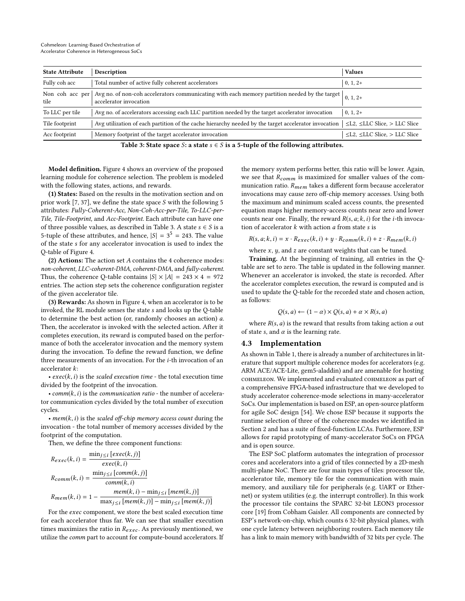<span id="page-6-0"></span>

| <b>State Attribute</b>  | Description                                                                                                                                  | <b>Values</b>                              |
|-------------------------|----------------------------------------------------------------------------------------------------------------------------------------------|--------------------------------------------|
| Fully coh acc           | Total number of active fully coherent accelerators                                                                                           | $ 0, 1, 2+$                                |
| Non coh acc per<br>tile | Avg no. of non-coh accelerators communicating with each memory partition needed by the target $\Big _{0,\,1,\,2+}$<br>accelerator invocation |                                            |
| To LLC per tile         | Avg no. of accelerators accessing each LLC partition needed by the target accelerator invocation                                             | $0, 1, 2+$                                 |
| Tile footprint          | Avg utilization of each partition of the cache hierarchy needed by the target accelerator invocation                                         | $\leq$ L2, $\leq$ LLC Slice, $>$ LLC Slice |
| Acc footprint           | Memory footprint of the target accelerator invocation                                                                                        | $\leq$ L2, $\leq$ LLC Slice, $>$ LLC Slice |

Table 3: State space S: a state  $s \in S$  is a 5-tuple of the following attributes.

Model definition. Figure [4](#page-5-0) shows an overview of the proposed learning module for coherence selection. The problem is modeled with the following states, actions, and rewards.

(1) States: Based on the results in the motivation section and on prior work [\[7,](#page-14-23) [37\]](#page-14-41), we define the state space S with the following 5 attributes: Fully-Coherent-Acc, Non-Coh-Acc-per-Tile, To-LLC-per-Tile, Tile-Footprint, and Acc-Footprint. Each attribute can have one of three possible values, as described in Table [3.](#page-6-0) A state  $s \in S$  is a 5-tuple of these attributes, and hence,  $|S| = 3^5 = 243$ . The value of the state s for any accelerator invocation is used to index the Q-table of Figure [4.](#page-5-0)

(2) Actions: The action set A contains the 4 coherence modes: non-coherent, LLC-coherent-DMA, coherent-DMA, and fully-coherent. Thus, the coherence Q-table contains  $|S| \times |A| = 243 \times 4 = 972$ entries. The action step sets the coherence configuration register of the given accelerator tile.

(3) Rewards: As shown in Figure [4,](#page-5-0) when an accelerator is to be invoked, the RL module senses the state s and looks up the Q-table to determine the best action (or, randomly chooses an action) a. Then, the accelerator is invoked with the selected action. After it completes execution, its reward is computed based on the performance of both the accelerator invocation and the memory system during the invocation. To define the reward function, we define three measurements of an invocation. For the i-th invocation of an accelerator k:

•  $exec(k, i)$  is the scaled execution time - the total execution time divided by the footprint of the invocation.

•  $comm(k, i)$  is the communication ratio - the number of accelerator communication cycles divided by the total number of execution cycles.

• mem $(k, i)$  is the scaled off-chip memory access count during the invocation - the total number of memory accesses divided by the footprint of the computation.

Then, we define the three component functions:

$$
R_{exec}(k, i) = \frac{\min_{j \leq i} [exec(k, j)]}{exec(k, i)}
$$
  
\n
$$
R_{comm}(k, i) = \frac{\min_{j \leq i} [comm(k, j)]}{comm(k, i)}
$$
  
\n
$$
R_{mem}(k, i) = 1 - \frac{mem(k, i) - \min_{j \leq i} [mem(k, j)]}{\max_{j \leq i} [mem(k, j)] - \min_{j \leq i} [mem(k, j)]}
$$
  
\nFor the *exec* component, we store the best scaled execution time

for each accelerator thus far. We can see that smaller execution times maximizes the ratio in  $R_{exec}$ . As previously mentioned, we utilize the comm part to account for compute-bound accelerators. If the memory system performs better, this ratio will be lower. Again, we see that  $R_{comm}$  is maximized for smaller values of the communication ratio.  $R_{mem}$  takes a different form because accelerator invocations may cause zero off-chip memory accesses. Using both the maximum and minimum scaled access counts, the presented equation maps higher memory-access counts near zero and lower counts near one. Finally, the reward  $R(s, a; k, i)$  for the *i*-th invocation of accelerator  $k$  with action  $a$  from state  $s$  is

$$
R(s, a; k, i) = x \cdot R_{exec}(k, i) + y \cdot R_{comm}(k, i) + z \cdot R_{mem}(k, i)
$$

where  $x$ ,  $y$ , and  $z$  are constant weights that can be tuned.

Training. At the beginning of training, all entries in the Qtable are set to zero. The table is updated in the following manner. Whenever an accelerator is invoked, the state is recorded. After the accelerator completes execution, the reward is computed and is used to update the Q-table for the recorded state and chosen action, as follows:

$$
Q(s, a) \leftarrow (1 - \alpha) \times Q(s, a) + \alpha \times R(s, a)
$$

where  $R(s, a)$  is the reward that results from taking action  $a$  out of state s, and  $\alpha$  is the learning rate.

#### 4.3 Implementation

As shown in Table [1,](#page-2-1) there is already a number of architectures in literature that support multiple coherence modes for accelerators (e.g. ARM ACE/ACE-Lite, gem5-aladdin) and are amenable for hosting cohmeleon. We implemented and evaluated cohmeleon as part of a comprehensive FPGA-based infrastructure that we developed to study accelerator coherence-mode selections in many-accelerator SoCs. Our implementation is based on ESP, an open-source platform for agile SoC design [\[54\]](#page-15-13). We chose ESP because it supports the runtime selection of three of the coherence modes we identified in Section [2](#page-1-0) and has a suite of fixed-function LCAs. Furthermore, ESP allows for rapid prototyping of many-accelerator SoCs on FPGA and is open source.

The ESP SoC platform automates the integration of processor cores and accelerators into a grid of tiles connected by a 2D-mesh multi-plane NoC. There are four main types of tiles: processor tile, accelerator tile, memory tile for the communication with main memory, and auxiliary tile for peripherals (e.g. UART or Ethernet) or system utilities (e.g. the interrupt controller). In this work the processor tile contains the SPARC 32-bit LEON3 processor core [\[19\]](#page-14-42) from Cobham Gaisler. All components are connected by ESP's network-on-chip, which counts 6 32-bit physical planes, with one cycle latency between neighboring routers. Each memory tile has a link to main memory with bandwidth of 32 bits per cycle. The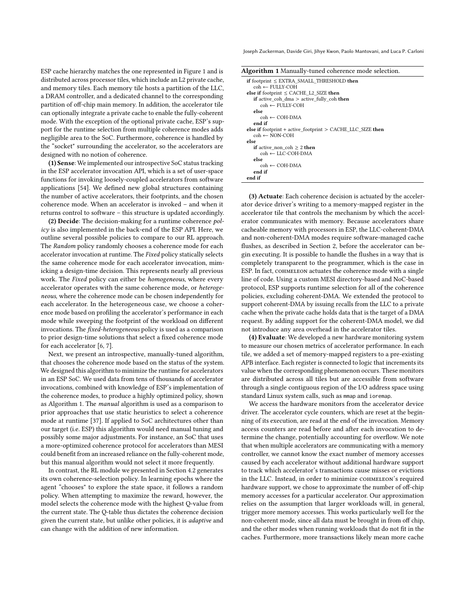ESP cache hierarchy matches the one represented in Figure [1](#page-0-0) and is distributed across processor tiles, which include an L2 private cache, and memory tiles. Each memory tile hosts a partition of the LLC, a DRAM controller, and a dedicated channel to the corresponding partition of off-chip main memory. In addition, the accelerator tile can optionally integrate a private cache to enable the fully-coherent mode. With the exception of the optional private cache, ESP's support for the runtime selection from multiple coherence modes adds negligible area to the SoC. Furthermore, coherence is handled by the "socket" surrounding the accelerator, so the accelerators are designed with no notion of coherence.

(1) Sense: We implemented our introspective SoC status tracking in the ESP accelerator invocation API, which is a set of user-space functions for invoking loosely-coupled accelerators from software applications [\[54\]](#page-15-13). We defined new global structures containing the number of active accelerators, their footprints, and the chosen coherence mode. When an accelerator is invoked – and when it returns control to software – this structure is updated accordingly.

(2) Decide: The decision-making for a runtime coherence policy is also implemented in the back-end of the ESP API. Here, we outline several possible policies to compare to our RL approach. The Random policy randomly chooses a coherence mode for each accelerator invocation at runtime. The Fixed policy statically selects the same coherence mode for each accelerator invocation, mimicking a design-time decision. This represents nearly all previous work. The Fixed policy can either be homogeneous, where every accelerator operates with the same coherence mode, or heterogeneous, where the coherence mode can be chosen independently for each accelerator. In the heterogeneous case, we choose a coherence mode based on profiling the accelerator's performance in each mode while sweeping the footprint of the workload on different invocations. The fixed-heterogeneous policy is used as a comparison to prior design-time solutions that select a fixed coherence mode for each accelerator [\[6,](#page-14-16) [7\]](#page-14-23).

Next, we present an introspective, manually-tuned algorithm, that chooses the coherence mode based on the status of the system. We designed this algorithm to minimize the runtime for accelerators in an ESP SoC. We used data from tens of thousands of accelerator invocations, combined with knowledge of ESP's implementation of the coherence modes, to produce a highly optimized policy, shown as Algorithm [1.](#page-7-0) The manual algorithm is used as a comparison to prior approaches that use static heuristics to select a coherence mode at runtime [\[37\]](#page-14-41). If applied to SoC architectures other than our target (i.e. ESP) this algorithm would need manual tuning and possibly some major adjustments. For instance, an SoC that uses a more-optimized coherence protocol for accelerators than MESI could benefit from an increased reliance on the fully-coherent mode, but this manual algorithm would not select it more frequently.

In contrast, the RL module we presented in Section [4.2](#page-5-1) generates its own coherence-selection policy. In learning epochs where the agent "chooses" to explore the state space, it follows a random policy. When attempting to maximize the reward, however, the model selects the coherence mode with the highest Q-value from the current state. The Q-table thus dictates the coherence decision given the current state, but unlike other policies, it is adaptive and can change with the addition of new information.

Joseph Zuckerman, Davide Giri, Jihye Kwon, Paolo Mantovani, and Luca P. Carloni

<span id="page-7-0"></span>

| if footprint $\leq$ EXTRA SMALL THRESHOLD then<br>$coh \leftarrow$ FULLY-COH |
|------------------------------------------------------------------------------|
| else if footprint $\leq$ CACHE L2 SIZE then                                  |
| if active coh dma $>$ active fully coh then                                  |
| coh ← FULLY-COH                                                              |
| else                                                                         |
| $coh \leftarrow \text{COH-DMA}$                                              |
| end if                                                                       |
| else if footprint + active footprint > $CACHE$ LLC SIZE then                 |
| $coh \leftarrow NON-COH$                                                     |
| else                                                                         |
| <b>if</b> active non coh $\geq 2$ then                                       |
| $coh \leftarrow LLC\text{-}COH\text{-}DMA$                                   |
| else                                                                         |
| $coh \leftarrow \text{COH-DMA}$                                              |
| end if                                                                       |
| end if                                                                       |
|                                                                              |

(3) Actuate: Each coherence decision is actuated by the accelerator device driver's writing to a memory-mapped register in the accelerator tile that controls the mechanism by which the accelerator communicates with memory. Because accelerators share cacheable memory with processors in ESP, the LLC-coherent-DMA and non-coherent-DMA modes require software-managed cache flushes, as described in Section [2,](#page-1-0) before the accelerator can begin executing. It is possible to handle the flushes in a way that is completely transparent to the programmer, which is the case in ESP. In fact, COHMELEON actuates the coherence mode with a single line of code. Using a custom MESI directory-based and NoC-based protocol, ESP supports runtime selection for all of the coherence policies, excluding coherent-DMA. We extended the protocol to support coherent-DMA by issuing recalls from the LLC to a private cache when the private cache holds data that is the target of a DMA request. By adding support for the coherent-DMA model, we did not introduce any area overhead in the accelerator tiles.

(4) Evaluate: We developed a new hardware monitoring system to measure our chosen metrics of accelerator performance. In each tile, we added a set of memory-mapped registers to a pre-existing APB interface. Each register is connected to logic that increments its value when the corresponding phenomenon occurs. These monitors are distributed across all tiles but are accessible from software through a single contiguous region of the I/O address space using standard Linux system calls, such as mmap and ioremap.

We access the hardware monitors from the accelerator device driver. The accelerator cycle counters, which are reset at the beginning of its execution, are read at the end of the invocation. Memory access counters are read before and after each invocation to determine the change, potentially accounting for overflow. We note that when multiple accelerators are communicating with a memory controller, we cannot know the exact number of memory accesses caused by each accelerator without additional hardware support to track which accelerator's transactions cause misses or evictions in the LLC. Instead, in order to minimize cohmeleon's required hardware support, we chose to approximate the number of off-chip memory accesses for a particular accelerator. Our approximation relies on the assumption that larger workloads will, in general, trigger more memory accesses. This works particularly well for the non-coherent mode, since all data must be brought in from off chip, and the other modes when running workloads that do not fit in the caches. Furthermore, more transactions likely mean more cache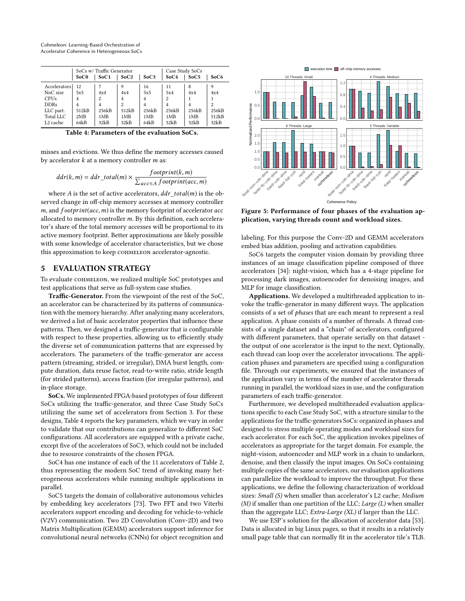Cohmeleon: Learning-Based Orchestration of Accelerator Coherence in Heterogeneous SoCs

<span id="page-8-1"></span>

|                      | SoCs w/Traffic Generator |       |                |       | Case Study SoCs |       |                |  |
|----------------------|--------------------------|-------|----------------|-------|-----------------|-------|----------------|--|
|                      | SoC <sub>0</sub>         | SoC1  | SoC2           | SoC3  | SoC4            | SoC5  | SoC6           |  |
| Accelerators         | 12                       |       | 9              | 16    | 11              | 8     | 9              |  |
| NoC size             | 5x5                      | 4x4   | 4x4            | 5x5   | 5x4             | 4x4   | 4x4            |  |
| <b>CPUs</b>          | 4                        | 2     | $\overline{4}$ | 4     | $\overline{c}$  |       |                |  |
| <b>DDRs</b>          | 4                        | 4     | $\overline{c}$ | 4     | $\overline{4}$  | 4     | $\overline{c}$ |  |
| LLC part.            | 512kB                    | 256kB | 512kB          | 256kB | 256kB           | 256kB | 256kB          |  |
| Total LLC            | 2MB                      | 1MB   | 1MB            | 1MB   | 1MB             | 1MB   | 512kB          |  |
| L <sub>2</sub> cache | 64kB                     | 32kB  | 32kB           | 64kB  | 32kB            | 32kB  | 32kB           |  |

Table 4: Parameters of the evaluation SoCs.

misses and evictions. We thus define the memory accesses caused by accelerator  $k$  at a memory controller  $m$  as:

$$
ddr(k, m) = ddr\_total(m) \times \frac{footprint(k, m)}{\sum_{acc \in A} footprint(ac, m)}
$$

where A is the set of active accelerators,  $ddr\,total(m)$  is the observed change in off-chip memory accesses at memory controller  $m$ , and  $footprint(acc, m)$  is the memory footprint of accelerator  $acc$ allocated to memory controller m. By this definition, each accelerator's share of the total memory accesses will be proportional to its active memory footprint. Better approximations are likely possible with some knowledge of accelerator characteristics, but we chose this approximation to keep COHMELEON accelerator-agnostic.

#### <span id="page-8-0"></span>5 EVALUATION STRATEGY

To evaluate сонме LEON, we realized multiple SoC prototypes and test applications that serve as full-system case studies.

Traffic-Generator. From the viewpoint of the rest of the SoC, an accelerator can be characterized by its patterns of communication with the memory hierarchy. After analyzing many accelerators, we derived a list of basic accelerator properties that influence these patterns. Then, we designed a traffic-generator that is configurable with respect to these properties, allowing us to efficiently study the diverse set of communication patterns that are expressed by accelerators. The parameters of the traffic-generator are access pattern (streaming, strided, or irregular), DMA burst length, compute duration, data reuse factor, read-to-write ratio, stride length (for strided patterns), access fraction (for irregular patterns), and in-place storage.

SoCs. We implemented FPGA-based prototypes of four different SoCs utilizing the traffic-generator, and three Case Study SoCs utilizing the same set of accelerators from Section [3.](#page-2-0) For these designs, Table [4](#page-8-1) reports the key parameters, which we vary in order to validate that our contributions can generalize to different SoC configurations. All accelerators are equipped with a private cache, except five of the accelerators of SoC3, which could not be included due to resource constraints of the chosen FPGA.

SoC4 has one instance of each of the 11 accelerators of Table [2,](#page-3-1) thus representing the modern SoC trend of invoking many heterogeneous accelerators while running multiple applications in parallel.

SoC5 targets the domain of collaborative autonomous vehicles by embedding key accelerators [\[73\]](#page-15-33). Two FFT and two Viterbi accelerators support encoding and decoding for vehicle-to-vehicle (V2V) communication. Two 2D Convolution (Conv-2D) and two Matrix Multiplication (GEMM) accelerators support inference for convolutional neural networks (CNNs) for object recognition and

<span id="page-8-2"></span>

Figure 5: Performance of four phases of the evaluation application, varying threads count and workload sizes.

labeling. For this purpose the Conv-2D and GEMM accelerators embed bias addition, pooling and activation capabilities.

SoC6 targets the computer vision domain by providing three instances of an image classification pipeline composed of three accelerators [\[34\]](#page-14-43): night-vision, which has a 4-stage pipeline for processing dark images, autoencoder for denoising images, and MLP for image classification.

Applications. We developed a multithreaded application to invoke the traffic-generator in many different ways. The application consists of a set of phases that are each meant to represent a real application. A phase consists of a number of threads. A thread consists of a single dataset and a "chain" of accelerators, configured with different parameters, that operate serially on that dataset the output of one accelerator is the input to the next. Optionally, each thread can loop over the accelerator invocations. The application phases and parameters are specified using a configuration file. Through our experiments, we ensured that the instances of the application vary in terms of the number of accelerator threads running in parallel, the workload sizes in use, and the configuration parameters of each traffic-generator.

Furthermore, we developed multithreaded evaluation applications specific to each Case Study SoC, with a structure similar to the applications for the traffic-generators SoCs: organized in phases and designed to stress multiple operating modes and workload sizes for each accelerator. For each SoC, the application invokes pipelines of accelerators as appropriate for the target domain. For example, the night-vision, autoencoder and MLP work in a chain to undarken, denoise, and then classify the input images. On SoCs containing multiple copies of the same accelerators, our evaluation applications can parallelize the workload to improve the throughput. For these applications, we define the following characterization of workload sizes: Small (S) when smaller than accelerator's L2 cache; Medium (M) if smaller than one partition of the LLC; Large  $(L)$  when smaller than the aggregate LLC; Extra-Large (XL) if larger than the LLC.

We use ESP's solution for the allocation of accelerator data [\[53\]](#page-15-34). Data is allocated in big Linux pages, so that it results in a relatively small page table that can normally fit in the accelerator tile's TLB.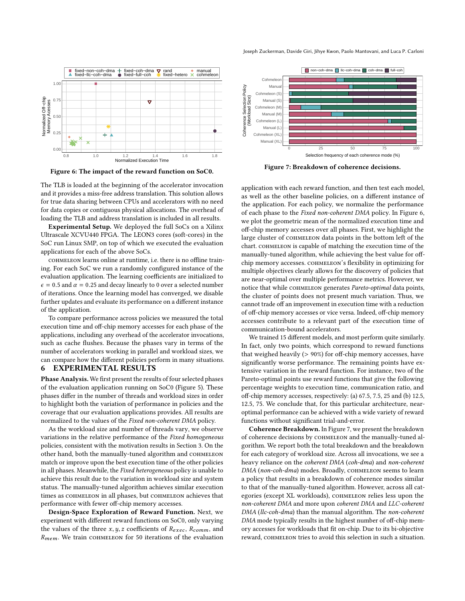Joseph Zuckerman, Davide Giri, Jihye Kwon, Paolo Mantovani, and Luca P. Carloni

<span id="page-9-1"></span>![](_page_9_Figure_1.jpeg)

Figure 6: The impact of the reward function on SoC0.

The TLB is loaded at the beginning of the accelerator invocation and it provides a miss-free address translation. This solution allows for true data sharing between CPUs and accelerators with no need for data copies or contiguous physical allocations. The overhead of loading the TLB and address translation is included in all results.

Experimental Setup. We deployed the full SoCs on a Xilinx Ultrascale XCVU440 FPGA. The LEON3 cores (soft-cores) in the SoC run Linux SMP, on top of which we executed the evaluation applications for each of the above SoCs.

cohmeleon learns online at runtime, i.e. there is no offline training. For each SoC we run a randomly configured instance of the evaluation application. The learning coefficients are initialized to  $\epsilon = 0.5$  and  $\alpha = 0.25$  and decay linearly to 0 over a selected number of iterations. Once the learning model has converged, we disable further updates and evaluate its performance on a different instance of the application.

To compare performance across policies we measured the total execution time and off-chip memory accesses for each phase of the applications, including any overhead of the accelerator invocations, such as cache flushes. Because the phases vary in terms of the number of accelerators working in parallel and workload sizes, we can compare how the different policies perform in many situations.

#### <span id="page-9-0"></span>6 EXPERIMENTAL RESULTS

Phase Analysis. We first present the results of four selected phases of the evaluation application running on SoC0 (Figure [5\)](#page-8-2). These phases differ in the number of threads and workload sizes in order to highlight both the variation of performance in policies and the coverage that our evaluation applications provides. All results are normalized to the values of the Fixed non-coherent DMA policy.

As the workload size and number of threads vary, we observe variations in the relative performance of the Fixed homogeneous policies, consistent with the motivation results in Section [3.](#page-2-0) On the other hand, both the manually-tuned algorithm and COHMELEON match or improve upon the best execution time of the other policies in all phases. Meanwhile, the Fixed heterogeneous policy is unable to achieve this result due to the variation in workload size and system status. The manually-tuned algorithm achieves similar execution times as COHMELEON in all phases, but COHMELEON achieves that performance with fewer off-chip memory accesses. Example 18 in the minister of the formula of the methods of the repair of the representation in the product of the evaluation of the representation and the evaluation of the representation of the representation of the eva

Design-Space Exploration of Reward Function. Next, we experiment with different reward functions on SoC0, only varying the values of the three  $x, y, z$  coefficients of  $R_{exec}$ ,  $R_{comm}$ , and  $R_{mem}$ . We train conmeteon for 50 iterations of the evaluation

<span id="page-9-2"></span>![](_page_9_Figure_11.jpeg)

Figure 7: Breakdown of coherence decisions.

application with each reward function, and then test each model, as well as the other baseline policies, on a different instance of the application. For each policy, we normalize the performance of each phase to the Fixed non-coherent DMA policy. In Figure [6,](#page-9-1) we plot the geometric mean of the normalized execution time and off-chip memory accesses over all phases. First, we highlight the large cluster of cohmeleon data points in the bottom left of the chart. COHMELEON is capable of matching the execution time of the manually-tuned algorithm, while achieving the best value for offchip memory accesses. cohmeleon's flexibility in optimizing for multiple objectives clearly allows for the discovery of policies that are near-optimal over multiple performance metrics. However, we notice that while COHMELEON generates Pareto-optimal data points, the cluster of points does not present much variation. Thus, we cannot trade off an improvement in execution time with a reduction of off-chip memory accesses or vice versa. Indeed, off-chip memory accesses contribute to a relevant part of the execution time of communication-bound accelerators.

We trained 15 different models, and most perform quite similarly. In fact, only two points, which correspond to reward functions that weighed heavily (> 90%) for off-chip memory accesses, have significantly worse performance. The remaining points have extensive variation in the reward function. For instance, two of the Pareto-optimal points use reward functions that give the following percentage weights to execution time, communication ratio, and off-chip memory accesses, respectively: (a) 67.5, 7.5, 25 and (b) 12.5, 12.5, 75. We conclude that, for this particular architecture, nearoptimal performance can be achieved with a wide variety of reward functions without significant trial-and-error.

Coherence Breakdown. In Figure [7,](#page-9-2) we present the breakdown of coherence decisions by COHMELEON and the manually-tuned algorithm. We report both the total breakdown and the breakdown for each category of workload size. Across all invocations, we see a heavy reliance on the coherent DMA (coh-dma) and non-coherent DMA (non-coh-dma) modes. Broadly, COHMELEON seems to learn a policy that results in a breakdown of coherence modes similar to that of the manually-tuned algorithm. However, across all categories (except XL workloads), СОНМЕLEON relies less upon the non-coherent DMA and more upon coherent DMA and LLC-coherent DMA (llc-coh-dma) than the manual algorithm. The non-coherent DMA mode typically results in the highest number of off-chip memory accesses for workloads that fit on-chip. Due to its bi-objective reward, COHMELEON tries to avoid this selection in such a situation.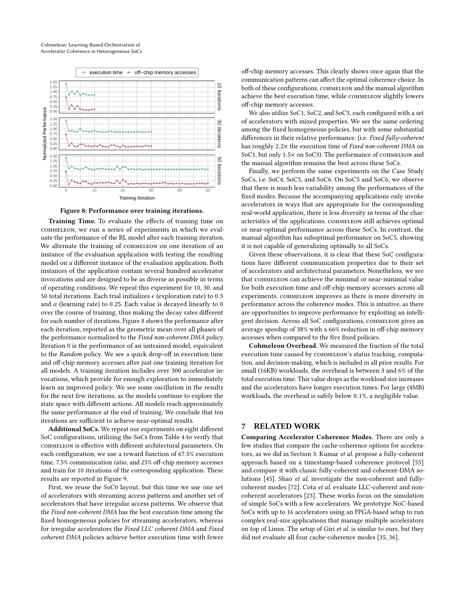<span id="page-10-0"></span>![](_page_10_Figure_1.jpeg)

Figure 8: Performance over training iterations.

Training Time. To evaluate the effects of training time on cohmeleon, we run a series of experiments in which we evaluate the performance of the RL model after each training iteration. We alternate the training of COHMELEON on one iteration of an instance of the evaluation application with testing the resulting model on a different instance of the evaluation application. Both instances of the application contain several hundred accelerator invocations and are designed to be as diverse as possible in terms of operating conditions. We repeat this experiment for 10, 30, and 50 total iterations. Each trial initializes  $\epsilon$  (exploration rate) to 0.5 and  $\alpha$  (learning rate) to 0.25. Each value is decayed linearly to 0 over the course of training, thus making the decay rates different for each number of iterations. Figure [8](#page-10-0) shows the performance after each iteration, reported as the geometric mean over all phases of the performance normalized to the Fixed non-coherent DMA policy. Iteration 0 is the performance of an untrained model, equivalent to the Random policy. We see a quick drop-off in execution time and off-chip memory accesses after just one training iteration for all models. A training iteration includes over 300 accelerator invocations, which provide for enough exploration to immediately learn an improved policy. We see some oscillation in the results for the next few iterations, as the models continue to explore the state space with different actions. All models reach approximately the same performance at the end of training. We conclude that ten iterations are sufficient to achieve near-optimal results.

Additional SoCs. We repeat our experiments on eight different SoC configurations, utilizing the SoCs from Table [4](#page-8-1) to verify that cohmeleon is effective with different architectural parameters. On each configuration, we use a reward function of 67.5% execution time, 7.5% communication ratio, and 25% off-chip memory accesses and train for 10 iterations of the corresponding application. These results are reported in Figure [9.](#page-11-0)

First, we reuse the SoC0 layout, but this time we use one set of accelerators with streaming access patterns and another set of accelerators that have irregular access patterns. We observe that the Fixed non-coherent DMA has the best execution time among the fixed homogeneous policies for streaming accelerators, whereas for irregular accelerators the Fixed LLC coherent DMA and Fixed coherent DMA policies achieve better execution time with fewer

off-chip memory accesses. This clearly shows once again that the communication patterns can affect the optimal coherence choice. In both of these configurations, COHMELEON and the manual algorithm achieve the best execution time, while COHMELEON slightly lowers off-chip memory accesses.

We also utilize SoC1, SoC2, and SoC3, each configured with a set of accelerators with mixed properties. We see the same ordering among the fixed homogeneous policies, but with some substantial differences in their relative performance. (i.e. Fixed fully-coherent has roughly 2.2× the execution time of Fixed non-coherent DMA on SoC1, but only 1.5× on SoC3). The performance of COHMELEON and the manual algorithm remains the best across these SoCs.

Finally, we perform the same experiments on the Case Study SoCs, i.e. SoC4, SoC5, and SoC6. On SoC5 and SoC6, we observe that there is much less variability among the performances of the fixed modes. Because the accompanying applications only invoke accelerators in ways that are appropriate for the corresponding real-world application, there is less diversity in terms of the characteristics of the applications. COHMELEON still achieves optimal or near-optimal performance across these SoCs. In contrast, the manual algorithm has suboptimal performance on SoC5, showing it is not capable of generalizing optimally to all SoCs.

Given these observations, it is clear that these SoC configurations have different communication properties due to their set of accelerators and architectural parameters. Nonetheless, we see that COHMELEON can achieve the minimal or near-minimal value for both execution time and off-chip memory accesses across all experiments. cohmeleon improves as there is more diversity in performance across the coherence modes. This is intuitive, as there are opportunities to improve performance by exploiting an intelligent decision. Across all SoC configurations, cohmeleon gives an average speedup of 38% with a 66% reduction in off-chip memory accesses when compared to the five fixed policies.

Cohmeleon Overhead. We measured the fraction of the total execution time caused by COHMELEON's status tracking, computation, and decision-making, which is included in all prior results. For small (16KB) workloads, the overhead is between 3 and 6% of the total execution time. This value drops as the workload size increases and the accelerators have longer execution times. For large (4MB) workloads, the overhead is safely below <sup>0</sup>.1%, a negligible value.

#### 7 RELATED WORK

Comparing Accelerator Coherence Modes. There are only a few studies that compare the cache-coherence options for accelerators, as we did in Section [3.](#page-2-0) Kumar et al. propose a fully-coherent approach based on a timestamp-based coherence protocol [\[55\]](#page-15-35) and compare it with classic fully-coherent and coherent-DMA solutions [\[45\]](#page-14-18). Shao et al. investigate the non-coherent and fullycoherent modes [\[72\]](#page-15-17). Cota et al. evaluate LLC-coherent and noncoherent accelerators [\[23\]](#page-14-10). These works focus on the simulation of simple SoCs with a few accelerators. We prototype NoC-based SoCs with up to 16 accelerators using an FPGA-based setup to run complex real-size applications that manage multiple accelerators on top of Linux. The setup of Giri et al. is similar to ours, but they did not evaluate all four cache-coherence modes [\[35,](#page-14-15) [36\]](#page-14-17).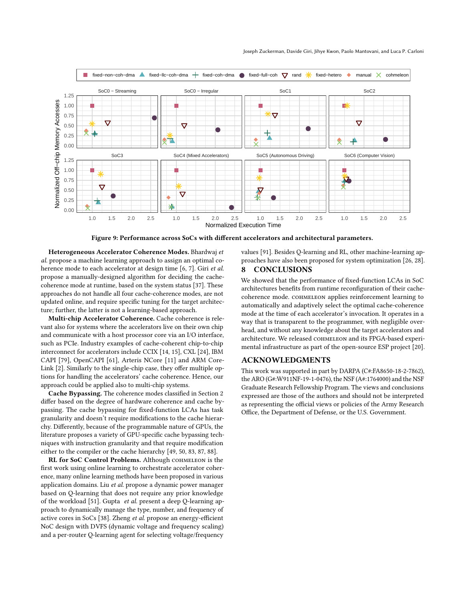<span id="page-11-0"></span>![](_page_11_Figure_1.jpeg)

Figure 9: Performance across SoCs with different accelerators and architectural parameters.

Heterogeneous Accelerator Coherence Modes. Bhardwaj et al. propose a machine learning approach to assign an optimal co-herence mode to each accelerator at design time [\[6,](#page-14-16) [7\]](#page-14-23). Giri et al. propose a manually-designed algorithm for deciding the cachecoherence mode at runtime, based on the system status [\[37\]](#page-14-41). These approaches do not handle all four cache-coherence modes, are not updated online, and require specific tuning for the target architecture; further, the latter is not a learning-based approach.

Multi-chip Accelerator Coherence. Cache coherence is relevant also for systems where the accelerators live on their own chip and communicate with a host processor core via an I/O interface, such as PCIe. Industry examples of cache-coherent chip-to-chip interconnect for accelerators include CCIX [\[14,](#page-14-33) [15\]](#page-14-34), CXL [\[24\]](#page-14-36), IBM CAPI [\[79\]](#page-15-22), OpenCAPI [\[61\]](#page-15-23), Arteris NCore [\[11\]](#page-14-32) and ARM Core-Link [\[2\]](#page-14-44). Similarly to the single-chip case, they offer multiple options for handling the accelerators' cache coherence. Hence, our approach could be applied also to multi-chip systems.

Cache Bypassing. The coherence modes classified in Section [2](#page-1-0) differ based on the degree of hardware coherence and cache bypassing. The cache bypassing for fixed-function LCAs has task granularity and doesn't require modifications to the cache hierarchy. Differently, because of the programmable nature of GPUs, the literature proposes a variety of GPU-specific cache bypassing techniques with instruction granularity and that require modification either to the compiler or the cache hierarchy [\[49,](#page-15-36) [50,](#page-15-37) [83,](#page-15-38) [87,](#page-15-39) [88\]](#page-15-40).

RL for SoC Control Problems. Although COHMELEON is the first work using online learning to orchestrate accelerator coherence, many online learning methods have been proposed in various application domains. Liu et al. propose a dynamic power manager based on Q-learning that does not require any prior knowledge of the workload [\[51\]](#page-15-41). Gupta et al. present a deep Q-learning approach to dynamically manage the type, number, and frequency of active cores in SoCs [\[38\]](#page-14-45). Zheng et al. propose an energy-efficient NoC design with DVFS (dynamic voltage and frequency scaling) and a per-router Q-learning agent for selecting voltage/frequency

values [\[91\]](#page-15-42). Besides Q-learning and RL, other machine-learning approaches have also been proposed for system optimization [\[26,](#page-14-46) [28\]](#page-14-47).

### 8 CONCLUSIONS

We showed that the performance of fixed-function LCAs in SoC architectures benefits from runtime reconfiguration of their cachecoherence mode. cohmeleon applies reinforcement learning to automatically and adaptively select the optimal cache-coherence mode at the time of each accelerator's invocation. It operates in a way that is transparent to the programmer, with negligible overhead, and without any knowledge about the target accelerators and architecture. We released COHMELEON and its FPGA-based experimental infrastructure as part of the open-source ESP project [\[20\]](#page-14-20).

#### ACKNOWLEDGMENTS

This work was supported in part by DARPA (C#:FA8650-18-2-7862), the ARO (G#:W911NF-19-1-0476), the NSF (A#:1764000) and the NSF Graduate Research Fellowship Program. The views and conclusions expressed are those of the authors and should not be interpreted as representing the official views or policies of the Army Research Office, the Department of Defense, or the U.S. Government.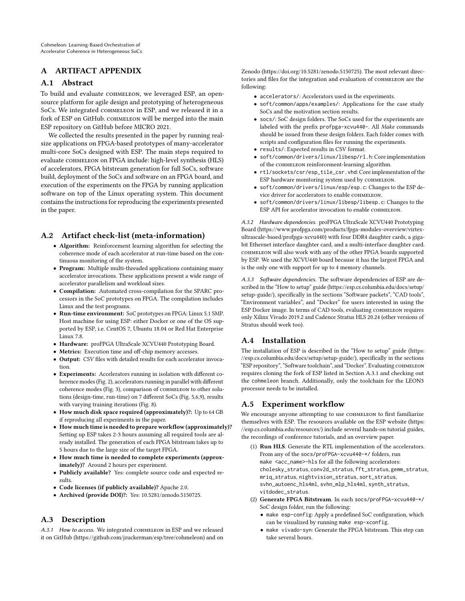# A ARTIFACT APPENDIX

### A.1 Abstract

To build and evaluate COHMELEON, we leveraged ESP, an opensource platform for agile design and prototyping of heterogeneous SoCs. We integrated COHMELEON in ESP, and we released it in a fork of ESP on GitHub. conmeteon will be merged into the main ESP repository on GitHub before MICRO 2021.

We collected the results presented in the paper by running realsize applications on FPGA-based prototypes of many-accelerator multi-core SoCs designed with ESP. The main steps required to evaluate COHMELEON on FPGA include: high-level synthesis (HLS) of accelerators, FPGA bitstream generation for full SoCs, software build, deployment of the SoCs and software on an FPGA board, and execution of the experiments on the FPGA by running application software on top of the Linux operating system. This document contains the instructions for reproducing the experiments presented in the paper.

# A.2 Artifact check-list (meta-information)

- Algorithm: Reinforcement learning algorithm for selecting the coherence mode of each accelerator at run-time based on the continuous monitoring of the system.
- Program: Multiple multi-threaded applications containing many accelerator invocations. These applications present a wide range of accelerator parallelism and workload sizes.
- Compilation: Automated cross-compilation for the SPARC processors in the SoC prototypes on FPGA. The compilation includes Linux and the test programs.
- Run-time environment: SoC prototypes on FPGA: Linux 5.1 SMP. Host machine for using ESP: either Docker or one of the OS supported by ESP, i.e. CentOS 7, Ubuntu 18.04 or Red Hat Enterprise Linux 7.8.
- Hardware: proFPGA UltraScale XCVU440 Prototyping Board.
- Metrics: Execution time and off-chip memory accesses.
- Output: CSV files with detailed results for each accelerator invocation.
- Experiments: Accelerators running in isolation with different coherence modes (Fig. 2), accelerators running in parallel with different coherence modes (Fig. 3), comparison of COHMELEON to other solutions (design-time, run-time) on 7 different SoCs (Fig. 5,6,9), results with varying training iterations (Fig. 8).
- How much disk space required (approximately)?: Up to 64 GB if reproducing all experiments in the paper.
- How much time is needed to prepare workflow (approximately)? Setting up ESP takes 2-3 hours assuming all required tools are already installed. The generation of each FPGA bitstream takes up to 5 hours due to the large size of the target FPGA.
- How much time is needed to complete experiments (approximately)? Around 2 hours per experiment.
- Publicly available? Yes: complete source code and expected results.
- Code licenses (if publicly available)? Apache 2.0.
- Archived (provide DOI)?: Yes: 10.5281/zenodo.5150725.

# A.3 Description

<span id="page-12-0"></span>A.3.1 How to access. We integrated COHMELEON in ESP and we released it on GitHub [\(https://github.com/jzuckerman/esp/tree/cohmeleon\)](https://github.com/jzuckerman/esp/tree/cohmeleon) and on

Zenodo [\(https://doi.org/10.5281/zenodo.5150725\)](https://doi.org/10.5281/zenodo.5150725). The most relevant directories and files for the integration and evaluation of COHMELEON are the following:

- accelerators/: Accelerators used in the experiments.
- soft/common/apps/examples/: Applications for the case study SoCs and the motivation section results.
- socs/: SoC design folders. The SoCs used for the experiments are labeled with the prefix profpga-xcvu440-. All Make commands should be issued from these design folders. Each folder comes with scripts and configuration files for running the experiments.
- results/: Expected results in CSV format.
- soft/common/drivers/linux/libesp/rl.h: Core implementation of the COHMELEON reinforcement-learning algorithm.
- rtl/sockets/csr/esp\_tile\_csr.vhd: Core implementation of the ESP hardware monitoring system used by COHMELEON.
- soft/common/drivers/linux/esp/esp.c: Changes to the ESP device driver for accelerators to enable COHMELEON.
- soft/common/drivers/linux/libesp/libesp.c: Changes to the ESP API for accelerator invocation to enable COHMELEON.

A.3.2 Hardware dependencies. proFPGA UltraScale XCVU440 Prototyping Board [\(https://www.profpga.com/products/fpga-modules-overview/virtex](https://www.profpga.com/products/fpga-modules-overview/virtex-ultrascale-based/profpga-xcvu440)[ultrascale-based/profpga-xcvu440\)](https://www.profpga.com/products/fpga-modules-overview/virtex-ultrascale-based/profpga-xcvu440) with four DDR4 daughter cards, a gigabit Ethernet interface daughter card, and a multi-interface daughter card. cohmeleon will also work with any of the other FPGA boards supported by ESP. We used the XCVU440 board because it has the largest FPGA and is the only one with support for up to 4 memory channels.

A.3.3 Software dependencies. The software dependencies of ESP are described in the "How to setup" guide [\(https://esp.cs.columbia.edu/docs/setup/](https://esp.cs.columbia.edu/docs/setup/setup-guide/) [setup-guide/\)](https://esp.cs.columbia.edu/docs/setup/setup-guide/), specifically in the sections "Software packets", "CAD tools", "Environment variables", and "Docker" for users interested in using the ESP Docker image. In terms of CAD tools, evaluating COHMELEON requires only Xilinx Vivado 2019.2 and Cadence Stratus HLS 20.24 (other versions of Stratus should work too).

# A.4 Installation

The installation of ESP is described in the "How to setup" guide [\(https:](https://esp.cs.columbia.edu/docs/setup/setup-guide/) [//esp.cs.columbia.edu/docs/setup/setup-guide/\)](https://esp.cs.columbia.edu/docs/setup/setup-guide/), specifically in the sections "ESP repository", "Software toolchain", and "Docker". Evaluating cohmeleon requires cloning the fork of ESP listed in Section [A.3.1](#page-12-0) and checking out the cohmeleon branch. Additionally, only the toolchain for the LEON3 processor needs to be installed.

# A.5 Experiment workflow

We encourage anyone attempting to use COHMELEON to first familiarize themselves with ESP. The resources available on the ESP website [\(https:](https://esp.cs.columbia.edu/resources/) [//esp.cs.columbia.edu/resources/\)](https://esp.cs.columbia.edu/resources/) include several hands-on tutorial guides, the recordings of conference tutorials, and an overview paper.

- (1) Run HLS. Generate the RTL implementation of the accelerators. From any of the socs/proFPGA-xcvu440-\*/ folders, run make <acc\_name>-hls for all the following accelerators: cholesky\_stratus, conv2d\_stratus, fft\_stratus, gemm\_stratus, mriq\_stratus, nightvision\_stratus, sort\_stratus, svhn\_autoenc\_hls4ml, svhn\_mlp\_hls4ml, synth\_stratus, vitdodec\_stratus.
- (2) Generate FPGA Bitstream. In each socs/proFPGA-xcvu440-\*/ SoC design folder, run the following:
	- make esp-config: Apply a predefined SoC configuration, which can be visualized by running make esp-xconfig.
	- make vivado-syn: Generate the FPGA bitstream. This step can take several hours.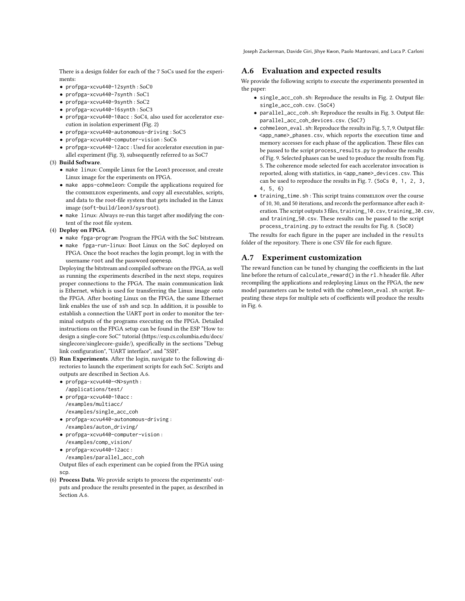Joseph Zuckerman, Davide Giri, Jihye Kwon, Paolo Mantovani, and Luca P. Carloni

There is a design folder for each of the 7 SoCs used for the experiments:

- profpga-xcvu440-12synth : SoC0
- profpga-xcvu440-7synth : SoC1
- profpga-xcvu440-9synth : SoC2
- profpga-xcvu440-16synth : SoC3
- profpga-xcvu440-10acc : SoC4, also used for accelerator execution in isolation experiment (Fig. 2)
- profpga-xcvu440-autonomous-driving : SoC5
- profpga-xcvu440-computer-vision : SoC6
- profpga-xcvu440-12acc : Used for accelerator execution in parallel experiment (Fig. 3), subsequently referred to as SoC7

#### (3) Build Software.

- make linux: Compile Linux for the Leon3 processor, and create Linux image for the experiments on FPGA.
- make apps-cohmeleon: Compile the applications required for the COHMELEON experiments, and copy all executables, scripts, and data to the root-file system that gets included in the Linux image (soft-build/leon3/sysroot).
- make linux: Always re-run this target after modifying the content of the root file system.

#### (4) Deploy on FPGA.

- make fpga-program: Program the FPGA with the SoC bitstream.
- make fpga-run-linux: Boot Linux on the SoC deployed on FPGA. Once the boot reaches the login prompt, log in with the username root and the password openesp.

Deploying the bitstream and compiled software on the FPGA, as well as running the experiments described in the next steps, requires proper connections to the FPGA. The main communication link is Ethernet, which is used for transferring the Linux image onto the FPGA. After booting Linux on the FPGA, the same Ethernet link enables the use of ssh and scp. In addition, it is possible to establish a connection the UART port in order to monitor the terminal outputs of the programs executing on the FPGA. Detailed instructions on the FPGA setup can be found in the ESP "How to: design a single-core SoC" tutorial [\(https://esp.cs.columbia.edu/docs/](https://esp.cs.columbia.edu/docs/singlecore/singlecore-guide/) [singlecore/singlecore-guide/\)](https://esp.cs.columbia.edu/docs/singlecore/singlecore-guide/), specifically in the sections "Debug link configuration", "UART interface", and "SSH".

- (5) Run Experiments. After the login, navigate to the following directories to launch the experiment scripts for each SoC. Scripts and outputs are described in Section [A.6.](#page-13-0)
	- profpga-xcvu440-<N>synth : /applications/test/
	- profpga-xcvu440-10acc : /examples/multiacc/
	- /examples/single\_acc\_coh • profpga-xcvu440-autonomous-driving : /examples/auton\_driving/
	- profpga-xcvu440-computer-vision : /examples/comp\_vision/
	- profpga-xcvu440-12acc : /examples/parallel\_acc\_coh

Output files of each experiment can be copied from the FPGA using scp.

(6) Process Data. We provide scripts to process the experiments' outputs and produce the results presented in the paper, as described in Section [A.6.](#page-13-0)

## <span id="page-13-0"></span>A.6 Evaluation and expected results

We provide the following scripts to execute the experiments presented in the paper:

- single\_acc\_coh.sh: Reproduce the results in Fig. 2. Output file: single\_acc\_coh.csv. (SoC4)
- parallel\_acc\_coh.sh: Reproduce the results in Fig. 3. Output file: parallel\_acc\_coh\_devices.csv. (SoC7)
- cohmeleon\_eval.sh: Reproduce the results in Fig. 5, 7, 9. Output file: <app\_name>\_phases.csv, which reports the execution time and memory accesses for each phase of the application. These files can be passed to the script process\_results.py to produce the results of Fig. 9. Selected phases can be used to produce the results from Fig. 5. The coherence mode selected for each accelerator invocation is reported, along with statistics, in <app\_name>\_devices.csv. This can be used to reproduce the results in Fig. 7. (SoCs 0, 1, 2, 3, 4, 5, 6)
- training\_time.sh: This script trains COHMELEON over the course of 10, 30, and 50 iterations, and records the performance after each iteration. The script outputs 3 files, training\_10.csv, training\_30.csv, and training\_50.csv. These results can be passed to the script process\_training.py to extract the results for Fig. 8. (SoC0)

The results for each figure in the paper are included in the results folder of the repository. There is one CSV file for each figure.

#### A.7 Experiment customization

The reward function can be tuned by changing the coefficients in the last line before the return of calculate\_reward() in the rl.h header file. After recompiling the applications and redeploying Linux on the FPGA, the new model parameters can be tested with the cohmeleon\_eval.sh script. Repeating these steps for multiple sets of coefficients will produce the results in Fig. 6.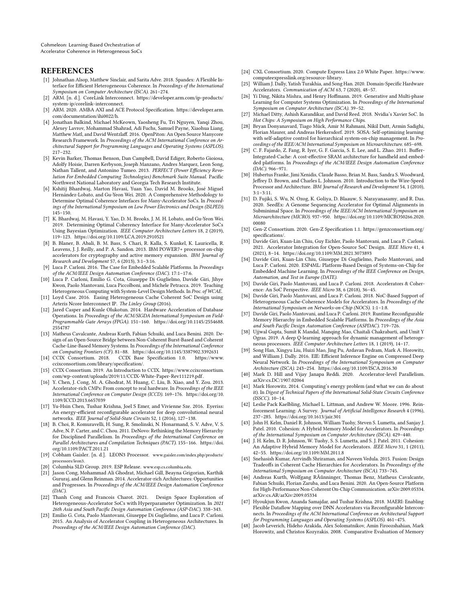Cohmeleon: Learning-Based Orchestration of Accelerator Coherence in Heterogeneous SoCs

#### **REFERENCES**

- <span id="page-14-14"></span>[1] Johnathan Alsop, Matthew Sinclair, and Sarita Adve. 2018. Spandex: A Flexible Interface for Efficient Heterogeneous Coherence. In Proceedings of the International Symposium on Computer Architecture (ISCA). 261–274.
- <span id="page-14-44"></span>[2] ARM. [n. d.]. CoreLink Interconnect. [https://developer.arm.com/ip-products/](https://developer.arm.com/ip-products/system-ip/corelink-interconnect) [system-ip/corelink-interconnect.](https://developer.arm.com/ip-products/system-ip/corelink-interconnect)
- <span id="page-14-29"></span>[3] ARM. 2020. AMBA AXI and ACE Protocol Specification. [https://developer.arm.](https://developer.arm.com/documentation/ihi0022/h) [com/documentation/ihi0022/h.](https://developer.arm.com/documentation/ihi0022/h)
- <span id="page-14-13"></span>[4] Jonathan Balkind, Michael McKeown, Yaosheng Fu, Tri Nguyen, Yanqi Zhou, Alexey Lavrov, Mohammad Shahrad, Adi Fuchs, Samuel Payne, Xiaohua Liang, Matthew Matl, and David Wentzlaff. 2016. OpenPiton: An Open Source Manycore Research Framework. In Proceedings of the ACM International Conference on Architectural Support for Programming Languages and Operating Systems (ASPLOS). 217–232.
- <span id="page-14-38"></span>[5] Kevin Barker, Thomas Benson, Dan Campbell, David Ediger, Roberto Gioiosa, Adolfy Hoisie, Darren Kerbyson, Joseph Manzano, Andres Marquez, Leon Song, Nathan Tallent, and Antonino Tumeo. 2013. PERFECT (Power Efficiency Revolution For Embedded Computing Technologies) Benchmark Suite Manual. Pacific Northwest National Laboratory and Georgia Tech Research Institute.
- <span id="page-14-16"></span>[6] Kshitij Bhardwaj, Marton Havasi, Yuan Yao, David M. Brooks, José Miguel Hernández-Lobato, and Gu-Yeon Wei. 2020. A Comprehensive Methodology to Determine Optimal Coherence Interfaces for Many-Accelerator SoCs. In Proceedings of the International Symposium on Low Power Electronics and Design (ISLPED). 145–150.
- <span id="page-14-23"></span>[7] K. Bhardwaj, M. Havasi, Y. Yao, D. M. Brooks, J. M. H. Lobato, and Gu-Yeon Wei. 2019. Determining Optimal Coherency Interface for Many-Accelerator SoCs Using Bayesian Optimization. IEEE Computer Architecture Letters 18, 2 (2019), 119–123.<https://doi.org/10.1109/LCA.2019.2910521>
- <span id="page-14-30"></span>[8] B. Blaner, B. Abali, B. M. Bass, S. Chari, R. Kalla, S. Kunkel, K. Lauricella, R. Leavens, J. J. Reilly, and P. A. Sandon. 2013. IBM POWER7+ processor on-chip accelerators for cryptography and active memory expansion. IBM Journal of Research and Development 57, 6 (2013), 3:1–3:16.
- <span id="page-14-19"></span>[9] Luca P. Carloni. 2016. The Case for Embedded Scalable Platforms. In Proceedings of the ACM/IEEE Design Automation Conference (DAC). 17:1–17:6.
- <span id="page-14-0"></span>[10] Luca P. Carloni, Emilio G. Cota, Giuseppe Di Guglielmo, Davide Giri, Jihye Kwon, Paolo Mantovani, Luca Piccolboni, and Michele Petracca. 2019. Teaching Heterogeneous Computing with System-Level Design Methods. In Proc. of WCAE.
- <span id="page-14-32"></span>[11] Loyd Case. 2016. Easing Heterogeneous Cache Coherent SoC Design using Arteris Ncore Interconnect IP. The Linley Group (2016).
- <span id="page-14-4"></span>[12] Jared Casper and Kunle Olukotun. 2014. Hardware Acceleration of Database Operations. In Proceedings of the ACM/SIGDA International Symposium on Field-Programmable Gate Arrays (FPGA). 151–160. [https://doi.org/10.1145/2554688.](https://doi.org/10.1145/2554688.2554787) [2554787](https://doi.org/10.1145/2554688.2554787)
- <span id="page-14-26"></span>[13] Matheus Cavalcante, Andreas Kurth, Fabian Schuiki, and Luca Benini. 2020. Design of an Open-Source Bridge between Non-Coherent Burst-Based and Coherent Cache-Line-Based Memory Systems. In Proceedings of the International Conference on Computing Frontiers (CF). 81–88.<https://doi.org/10.1145/3387902.3392631>
- <span id="page-14-33"></span>[14] CCIX Consortium. 2018. CCIX Base Specification 1.0. [https://www.](https://www.ccixconsortium.com/library/specification/) [ccixconsortium.com/library/specification/.](https://www.ccixconsortium.com/library/specification/)
- <span id="page-14-34"></span>[15] CCIX Consortium. 2019. An Introduction to CCIX. [https://www.ccixconsortium.](https://www.ccixconsortium.com/wp-content/uploads/2019/11/CCIX-White-Paper-Rev111219.pdf) [com/wp-content/uploads/2019/11/CCIX-White-Paper-Rev111219.pdf.](https://www.ccixconsortium.com/wp-content/uploads/2019/11/CCIX-White-Paper-Rev111219.pdf)
- <span id="page-14-9"></span>[16] Y. Chen, J. Cong, M. A. Ghodrat, M. Huang, C. Liu, B. Xiao, and Y. Zou. 2013. Accelerator-rich CMPs: From concept to real hardware. In Proceedings of the IEEE International Conference on Computer Design (ICCD). 169–176. [https://doi.org/10.](https://doi.org/10.1109/ICCD.2013.6657039) [1109/ICCD.2013.6657039](https://doi.org/10.1109/ICCD.2013.6657039)
- <span id="page-14-5"></span>[17] Yu-Hsin Chen, Tushar Krishna, Joel S Emer, and Vivienne Sze. 2016. Eyeriss: An energy-efficient reconfigurable accelerator for deep convolutional neural networks. IEEE Journal of Solid-State Circuits 52, 1 (2016), 127–138.
- <span id="page-14-37"></span>[18] B. Choi, R. Komuravelli, H. Sung, R. Smolinski, N. Honarmand, S. V. Adve, V. S. Adve, N. P. Carter, and C. Chou. 2011. DeNovo: Rethinking the Memory Hierarchy for Disciplined Parallelism. In Proceedings of the International Conference on Parallel Architectures and Compilation Techniques (PACT). 155–166. [https://doi.](https://doi.org/10.1109/PACT.2011.21) [org/10.1109/PACT.2011.21](https://doi.org/10.1109/PACT.2011.21)
- <span id="page-14-42"></span>[19] Cobham Gaisler. [n. d.]. LEON3 Processor. [www.gaisler.com/index.php/products/](www.gaisler.com/index.php/products/processors/leon3) [processors/leon3](www.gaisler.com/index.php/products/processors/leon3).
- <span id="page-14-20"></span>[20] Columbia SLD Group. 2019. ESP Release. <www.esp.cs.columbia.edu>.
- <span id="page-14-1"></span>[21] Jason Cong, Mohammad Ali Ghodrat, Michael Gill, Beayna Grigorian, Karthik Gururaj, and Glenn Reinman. 2014. Accelerator-rich Architectures: Opportunities and Progresses. In Proceedings of the ACM/IEEE Design Automation Conference  $(DAC)$
- <span id="page-14-24"></span>[22] Thanh Cong and Francois Charot. 2021. Design Space Exploration of Heterogeneous-Accelerator SoCs with Hyperparameter Optimization. In 2021 26th Asia and South Pacific Design Automation Conference (ASP-DAC). 338–343.
- <span id="page-14-10"></span>[23] Emilio G. Cota, Paolo Mantovani, Giuseppe Di Guglielmo, and Luca P. Carloni. 2015. An Analysis of Accelerator Coupling in Heterogeneous Architectures. In Proceedings of the ACM/IEEE Design Automation Conference (DAC).
- <span id="page-14-36"></span>[24] CXL Consortium. 2020. Compute Express Linx 2.0 White Paper. [https://www.](https://www.computeexpresslink.org/resource-library) [computeexpresslink.org/resource-library.](https://www.computeexpresslink.org/resource-library)
- <span id="page-14-12"></span>[25] William J. Dally, Yatish Turakhia, and Song Han. 2020. Domain-Specific Hardware Accelerators. Communication of ACM 63, 7 (2020), 48–57.
- <span id="page-14-46"></span>[26] Yi Ding, Nikita Mishra, and Henry Hoffmann. 2019. Generative and Multi-phase Learning for Computer Systems Optimization. In Proceedings of the International Symposium on Computer Architecture (ISCA). 39–52.
- <span id="page-14-2"></span>[27] Michael Ditty, Ashish Karandikar, and David Reed. 2018. Nvidia's Xavier SoC. In Hot Chips: A Symposium on High Performance Chips.
- <span id="page-14-47"></span>[28] Bryan Donyanavard, Tiago Mück, Amir M Rahmani, Nikil Dutt, Armin Sadighi, Florian Maurer, and Andreas Herkersdorf. 2019. SOSA: Self-optimizing learning with self-adaptive control for hierarchical system-on-chip management. In Proceedings of the IEEE/ACM International Symposium on Microarchitecture. 685–698.
- <span id="page-14-27"></span>[29] C. F. Fajardo, Z. Fang, R. Iyer, G. F. Garcia, S. E. Lee, and L. Zhao. 2011. Buffer-Integrated-Cache: A cost-effective SRAM architecture for handheld and embedded platforms. In Proceedings of the ACM/IEEE Design Automation Conference (DAC). 966–971.
- <span id="page-14-31"></span>[30] Hubertus Franke, Jimi Xenidis, Claude Basso, Brian M. Bass, Sandra S. Woodward, Jeffrey D. Brown, and Charles L. Johnson. 2010. Introduction to the Wire-Speed Processor and Architecture. IBM Journal of Research and Development 54, 1 (2010), 3:1–3:11.
- <span id="page-14-6"></span>[31] D. Fujiki, S. Wu, N. Ozog, K. Goliya, D. Blaauw, S. Narayanasamy, and R. Das. 2020. SeedEx: A Genome Sequencing Accelerator for Optimal Alignments in Subminimal Space. In Proceedings of the IEEE/ACM International Symposium on Microarchitecture (MICRO). 937–950. [https://doi.org/10.1109/MICRO50266.2020.](https://doi.org/10.1109/MICRO50266.2020.00080) [00080](https://doi.org/10.1109/MICRO50266.2020.00080)
- <span id="page-14-35"></span>[32] Gen-Z Consortium. 2020. Gen-Z Specification 1.1. [https://genzconsortium.org/](https://genzconsortium.org/specifications/) [specifications/.](https://genzconsortium.org/specifications/)
- <span id="page-14-39"></span>[33] Davide Giri, Kuan-Lin Chiu, Guy Eichler, Paolo Mantovani, and Luca P. Carloni. 2021. Accelerator Integration for Open-Source SoC Design. IEEE Micro 41, 4 (2021), 8–14.<https://doi.org/10.1109/MM.2021.3073893>
- <span id="page-14-43"></span>[34] Davide Giri, Kuan-Lin Chiu, Giuseppe Di Guglielmo, Paolo Mantovani, and Luca P. Carloni. 2020. ESP4ML: Platform-Based Design of Systems-on-Chip for Embedded Machine Learning. In Proceedings of the IEEE Conference on Design, Automation, and Test in Europe (DATE).
- <span id="page-14-15"></span>[35] Davide Giri, Paolo Mantovani, and Luca P. Carloni. 2018. Accelerators & Coherence: An SoC Perspective. IEEE Micro 38, 6 (2018), 36–45.
- <span id="page-14-17"></span>[36] Davide Giri, Paolo Mantovani, and Luca P. Carloni. 2018. NoC-Based Support of Heterogeneous Cache-Coherence Models for Accelerators. In Proceedings of the International Symposium on Networks-on-Chip (NOCS). 1:1–1:8.
- <span id="page-14-41"></span>[37] Davide Giri, Paolo Mantovani, and Luca P. Carloni. 2019. Runtime Reconfigurable Memory Hierarchy in Embedded Scalable Platforms. In Proceedings of the Asia and South Pacific Design Automation Conference (ASPDAC). 719–726.
- <span id="page-14-45"></span>[38] Ujjwal Gupta, Sumit K Mandal, Manqing Mao, Chaitali Chakrabarti, and Umit Y Ogras. 2019. A deep Q-learning approach for dynamic management of heterogeneous processors. IEEE Computer Architecture Letters 18, 1 (2019), 14–17.
- <span id="page-14-7"></span>[39] Song Han, Xingyu Liu, Huizi Mao, Jing Pu, Ardavan Pedram, Mark A. Horowitz, and William J. Dally. 2016. EIE: Efficient Inference Engine on Compressed Deep Neural Network. In Proceedings of the International Symposium on Computer Architecture (ISCA). 243–254.<https://doi.org/10.1109/ISCA.2016.30>
- <span id="page-14-3"></span>[40] Mark D. Hill and Vijay Janapa Reddi. 2020. Accelerator-level Parallelism. arXiv[:cs.DC/1907.02064](https://arxiv.org/abs/cs.DC/1907.02064)
- <span id="page-14-11"></span>[41] Mark Horowitz. 2014. Computing's energy problem (and what we can do about it). In Digest of Technical Papers of the International Solid-State Circuits Conference (ISSCC). 10–14.
- <span id="page-14-40"></span>[42] Leslie Pack Kaelbling, Michael L. Littman, and Andrew W. Moore. 1996. Reinforcement Learning: A Survey. Journal of Artificial Intelligence Research 4 (1996), 237–285.<https://doi.org/10.1613/jair.301>
- <span id="page-14-21"></span>[43] John H. Kelm, Daniel R. Johnson, William Tuohy, Steven S. Lumetta, and Sanjay J. Patel. 2010. Cohesion: A Hybrid Memory Model for Accelerators. In Proceedings of the International Symposium on Computer Architecture (ISCA). 429–440.
- <span id="page-14-28"></span>[44] J. H. Kelm, D. R. Johnson, W. Tuohy, S. S. Lumetta, and S. J. Patel. 2011. Cohesion: An Adaptive Hybrid Memory Model for Accelerators. IEEE Micro 31, 1 (2011), 42–55.<https://doi.org/10.1109/MM.2011.8>
- <span id="page-14-18"></span>[45] Snehasish Kumar, Arrvindh Shriraman, and Naveen Vedula. 2015. Fusion: Design Tradeoffs in Coherent Cache Hierarchies for Accelerators. In Proceedings of the International Symposium on Computer Architecture (ISCA). 733–745.
- <span id="page-14-25"></span>[46] Andreas Kurth, Wolfgang RÃűnninger, Thomas Benz, Matheus Cavalcante, Fabian Schuiki, Florian Zaruba, and Luca Benini. 2020. An Open-Source Platform for High-Performance Non-Coherent On-Chip Communication. [arXiv:2009.05334.](arXiv:2009.05334) arXiv[:cs.AR/arXiv:2009.05334](https://arxiv.org/abs/cs.AR/arXiv:2009.05334)
- <span id="page-14-8"></span>[47] Hyoukjun Kwon, Ananda Samajdar, and Tushar Krishna. 2018. MAERI: Enabling Flexible Dataflow Mapping over DNN Accelerators via Reconfigurable Interconnects. In Proceedings of the ACM International Conference on Architectural Support for Programming Languages and Operating Systems (ASPLOS). 461–475.
- <span id="page-14-22"></span>[48] Jacob Leverich, Hideho Arakida, Alex Solomatnikov, Amin Firoozshahian, Mark Horowitz, and Christos Kozyrakis. 2008. Comparative Evaluation of Memory